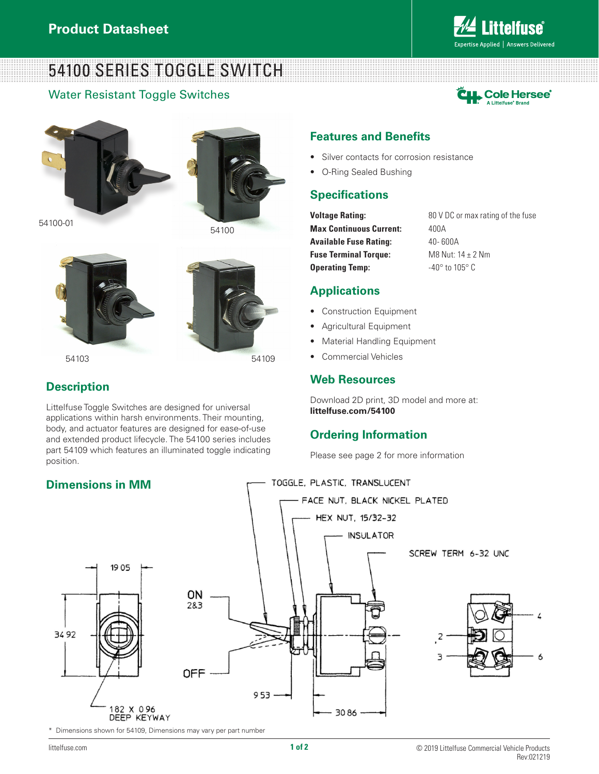# 54100 SERIES TOGGLE SWITCH

### Water Resistant Toggle Switches



Expertise Applied | Answers Delivered

**ittelfuse** 



54100-01



54100



54103 54109

## **Description**

Littelfuse Toggle Switches are designed for universal applications within harsh environments. Their mounting, body, and actuator features are designed for ease-of-use and extended product lifecycle. The 54100 series includes part 54109 which features an illuminated toggle indicating position.

#### **Features and Benefits**

- Silver contacts for corrosion resistance
- O-Ring Sealed Bushing

#### **Specifications**

**Max Continuous Current:** 400A **Available Fuse Rating:** 40-600A **Fuse Terminal Torque:** M8 Nut: 14 ± 2 Nm **Operating Temp:**  $-40^{\circ}$  to  $105^{\circ}$  C

**Voltage Rating:** 80 V DC or max rating of the fuse

#### **Applications**

- Construction Equipment
- Agricultural Equipment
- Material Handling Equipment
- Commercial Vehicles

#### **Web Resources**

Download 2D print, 3D model and more at: **littelfuse.com/54100**

### **Ordering Information**

Please see page 2 for more information



\* Dimensions shown for 54109, Dimensions may vary per part number